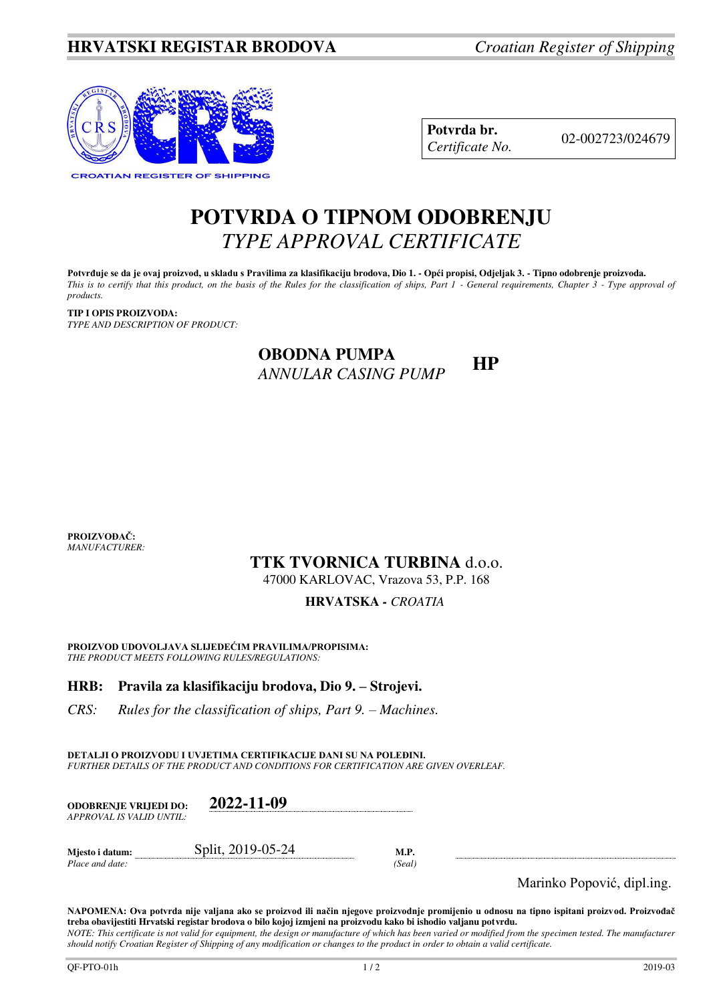

**Potvrda br.** 02-002723/024679 *Certificate No.* 

# **POTVRDA O TIPNOM ODOBRENJU**  *TYPE APPROVAL CERTIFICATE*

**Potvrđuje se da je ovaj proizvod, u skladu s Pravilima za klasifikaciju brodova, Dio 1. - Opći propisi, Odjeljak 3. - Tipno odobrenje proizvoda.**  *This is to certify that this product, on the basis of the Rules for the classification of ships, Part 1 - General requirements, Chapter 3 - Type approval of products.* 

**TIP I OPIS PROIZVODA:** *TYPE AND DESCRIPTION OF PRODUCT:* 

## **OBODNA PUMPA**  *ANNULAR CASING PUMP* **HP**

**PROIZVOĐAČ:** *MANUFACTURER:*

## **TTK TVORNICA TURBINA** d.o.o.

47000 KARLOVAC, Vrazova 53, P.P. 168

### **HRVATSKA** *- CROATIA*

**PROIZVOD UDOVOLJAVA SLIJEDEĆIM PRAVILIMA/PROPISIMA:** *THE PRODUCT MEETS FOLLOWING RULES/REGULATIONS:* 

### **HRB: Pravila za klasifikaciju brodova, Dio 9. – Strojevi.**

*CRS: Rules for the classification of ships, Part 9. – Machines.* 

**DETALJI O PROIZVODU I UVJETIMA CERTIFIKACIJE DANI SU NA POLEĐINI.** *FURTHER DETAILS OF THE PRODUCT AND CONDITIONS FOR CERTIFICATION ARE GIVEN OVERLEAF.* 

| ODOBRENJE VRLJEDI DO:<br>APPROVAL IS VALID UNTIL:- | 2022-11-09        |                |  |
|----------------------------------------------------|-------------------|----------------|--|
| Mjesto i datum:<br>Place and date:                 | Split, 2019-05-24 | M.P.<br>(Seal) |  |

Marinko Popović, dipl.ing.

**NAPOMENA: Ova potvrda nije valjana ako se proizvod ili način njegove proizvodnje promijenio u odnosu na tipno ispitani proizvod. Proizvođač treba obavijestiti Hrvatski registar brodova o bilo kojoj izmjeni na proizvodu kako bi ishodio valjanu potvrdu.**  *NOTE: This certificate is not valid for equipment, the design or manufacture of which has been varied or modified from the specimen tested. The manufacturer* 

*should notify Croatian Register of Shipping of any modification or changes to the product in order to obtain a valid certificate.*